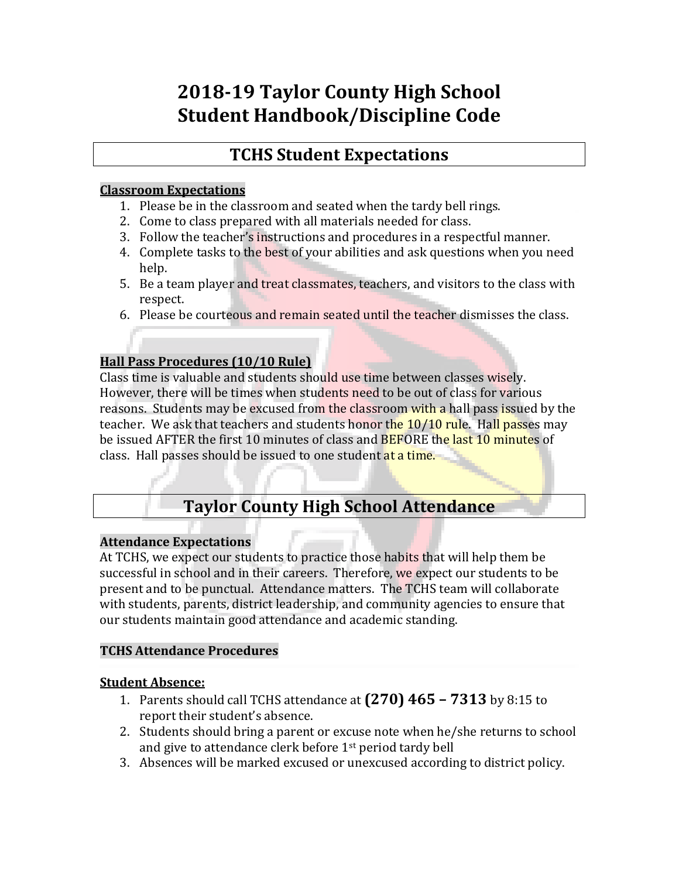# **2018-19 Taylor County High School Student Handbook/Discipline Code**

## **TCHS Student Expectations**

#### **Classroom Expectations**

- 1. Please be in the classroom and seated when the tardy bell rings.
- 2. Come to class prepared with all materials needed for class.
- 3. Follow the teacher's instructions and procedures in a respectful manner.
- 4. Complete tasks to the best of your abilities and ask questions when you need help.
- 5. Be a team player and treat classmates, teachers, and visitors to the class with respect.
- 6. Please be courteous and remain seated until the teacher dismisses the class.

## **Hall Pass Procedures (10/10 Rule)**

Class time is valuable and students should use time between classes wisely. However, there will be times when students need to be out of class for various reasons. Students may be excused from the classroom with a hall pass issued by the teacher. We ask that teachers and students honor the 10/10 rule. Hall passes may be issued AFTER the first 10 minutes of class and BEFORE the last 10 minutes of class. Hall passes should be issued to one student at a time.

## **Taylor County High School Attendance**

## **Attendance Expectations**

At TCHS, we expect our students to practice those habits that will help them be successful in school and in their careers. Therefore, we expect our students to be present and to be punctual. Attendance matters. The TCHS team will collaborate with students, parents, district leadership, and community agencies to ensure that our students maintain good attendance and academic standing.

## **TCHS Attendance Procedures**

## **Student Absence:**

- 1. Parents should call TCHS attendance at **(270) 465 – 7313** by 8:15 to report their student's absence.
- 2. Students should bring a parent or excuse note when he/she returns to school and give to attendance clerk before 1st period tardy bell
- 3. Absences will be marked excused or unexcused according to district policy.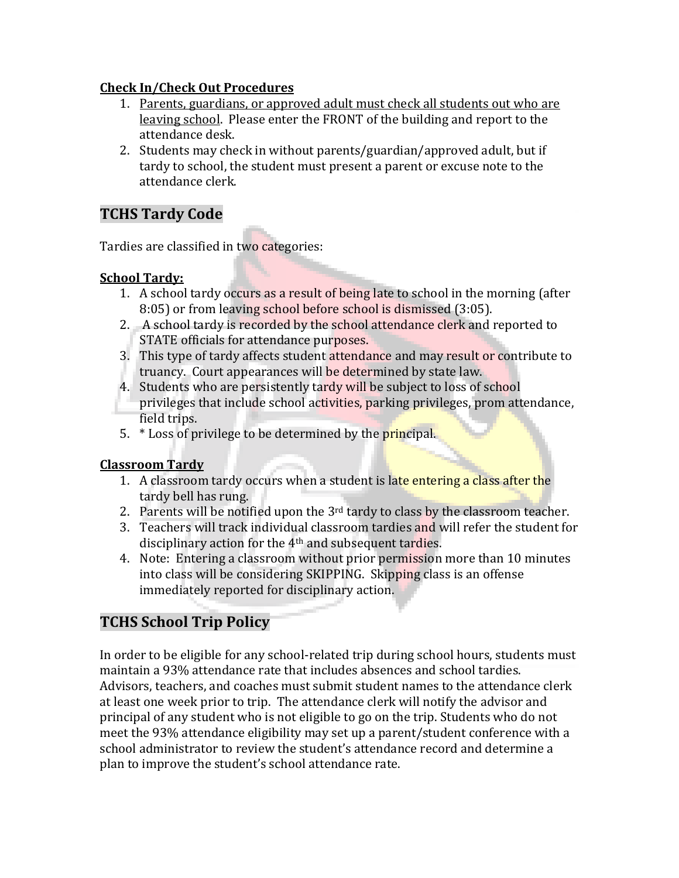## **Check In/Check Out Procedures**

- 1. Parents, guardians, or approved adult must check all students out who are leaving school. Please enter the FRONT of the building and report to the attendance desk.
- 2. Students may check in without parents/guardian/approved adult, but if tardy to school, the student must present a parent or excuse note to the attendance clerk.

## **TCHS Tardy Code**

Tardies are classified in two categories:

## **School Tardy:**

- 1. A school tardy occurs as a result of being late to school in the morning (after 8:05) or from leaving school before school is dismissed (3:05).
- 2. A school tardy is recorded by the school attendance clerk and reported to STATE officials for attendance purposes.
- 3. This type of tardy affects student attendance and may result or contribute to truancy. Court appearances will be determined by state law.
- 4. Students who are persistently tardy will be subject to loss of school privileges that include school activities, parking privileges, prom attendance, field trips.
- 5. \* Loss of privilege to be determined by the principal.

## **Classroom Tardy**

- 1. A classroom tardy occurs when a student is late entering a class after the tardy bell has rung.
- 2. Parents will be notified upon the  $3<sup>rd</sup>$  tardy to class by the classroom teacher.
- 3. Teachers will track individual classroom tardies and will refer the student for disciplinary action for the 4th and subsequent tardies.
- 4. Note: Entering a classroom without prior permission more than 10 minutes into class will be considering SKIPPING. Skipping class is an offense immediately reported for disciplinary action.

## **TCHS School Trip Policy**

In order to be eligible for any school-related trip during school hours, students must maintain a 93% attendance rate that includes absences and school tardies. Advisors, teachers, and coaches must submit student names to the attendance clerk at least one week prior to trip. The attendance clerk will notify the advisor and principal of any student who is not eligible to go on the trip. Students who do not meet the 93% attendance eligibility may set up a parent/student conference with a school administrator to review the student's attendance record and determine a plan to improve the student's school attendance rate.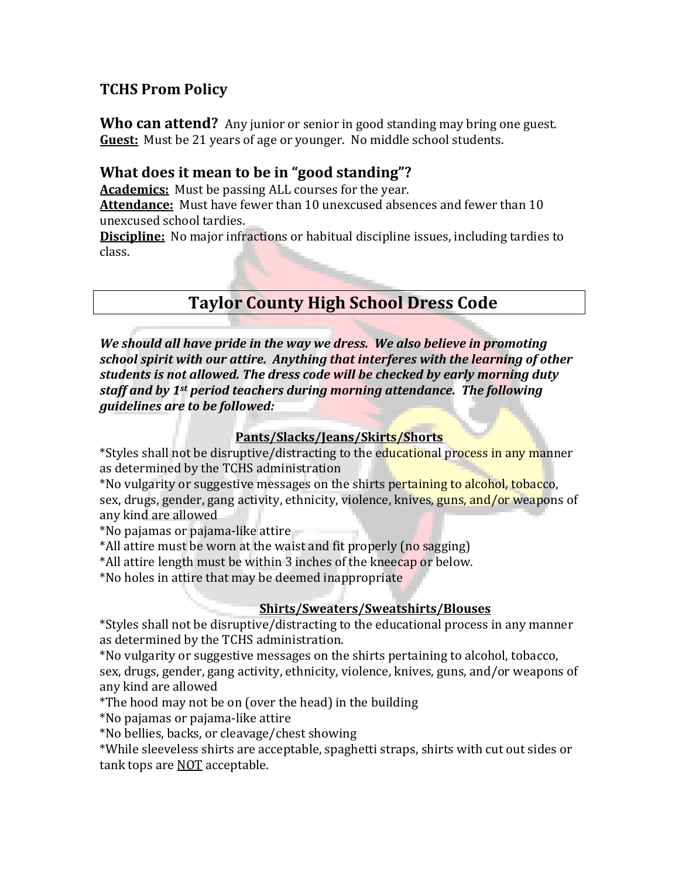## **TCHS Prom Policy**

**Who can attend?** Any junior or senior in good standing may bring one guest. **Guest:** Must be 21 years of age or younger. No middle school students.

## **What does it mean to be in "good standing"?**

**Academics:** Must be passing ALL courses for the year.

**Attendance:** Must have fewer than 10 unexcused absences and fewer than 10 unexcused school tardies.

**Discipline:** No major infractions or habitual discipline issues, including tardies to class.

## **Taylor County High School Dress Code**

*We should all have pride in the way we dress. We also believe in promoting school spirit with our attire. Anything that interferes with the learning of other students is not allowed. The dress code will be checked by early morning duty staff and by 1st period teachers during morning attendance. The following guidelines are to be followed:*

## **Pants/Slacks/Jeans/Skirts/Shorts**

\*Styles shall not be disruptive/distracting to the educational process in any manner as determined by the TCHS administration

\*No vulgarity or suggestive messages on the shirts pertaining to alcohol, tobacco, sex, drugs, gender, gang activity, ethnicity, violence, knives, guns, and/or weapons of any kind are allowed

\*No pajamas or pajama-like attire

\*All attire must be worn at the waist and fit properly (no sagging)

\*All attire length must be within 3 inches of the kneecap or below.

\*No holes in attire that may be deemed inappropriate

## **Shirts/Sweaters/Sweatshirts/Blouses**

\*Styles shall not be disruptive/distracting to the educational process in any manner as determined by the TCHS administration.

\*No vulgarity or suggestive messages on the shirts pertaining to alcohol, tobacco, sex, drugs, gender, gang activity, ethnicity, violence, knives, guns, and/or weapons of any kind are allowed

\*The hood may not be on (over the head) in the building

\*No pajamas or pajama-like attire

\*No bellies, backs, or cleavage/chest showing

\*While sleeveless shirts are acceptable, spaghetti straps, shirts with cut out sides or tank tops are NOT acceptable.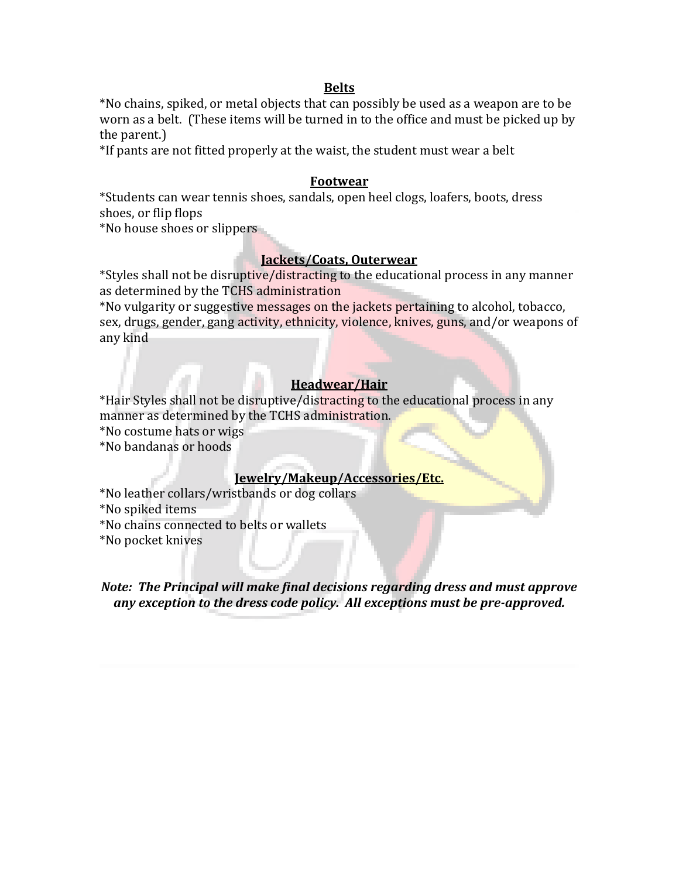#### **Belts**

\*No chains, spiked, or metal objects that can possibly be used as a weapon are to be worn as a belt. (These items will be turned in to the office and must be picked up by the parent.)

\*If pants are not fitted properly at the waist, the student must wear a belt

#### **Footwear**

\*Students can wear tennis shoes, sandals, open heel clogs, loafers, boots, dress shoes, or flip flops

\*No house shoes or slippers

#### **Jackets/Coats, Outerwear**

\*Styles shall not be disruptive/distracting to the educational process in any manner as determined by the TCHS administration

\*No vulgarity or suggestive messages on the jackets pertaining to alcohol, tobacco, sex, drugs, gender, gang activity, ethnicity, violence, knives, guns, and/or weapons of any kind

#### **Headwear/Hair**

\*Hair Styles shall not be disruptive/distracting to the educational process in any manner as determined by the TCHS administration.

\*No costume hats or wigs

\*No bandanas or hoods

#### **Jewelry/Makeup/Accessories/Etc.**

\*No leather collars/wristbands or dog collars

\*No spiked items

\*No chains connected to belts or wallets

\*No pocket knives

#### *Note: The Principal will make final decisions regarding dress and must approve any exception to the dress code policy. All exceptions must be pre-approved.*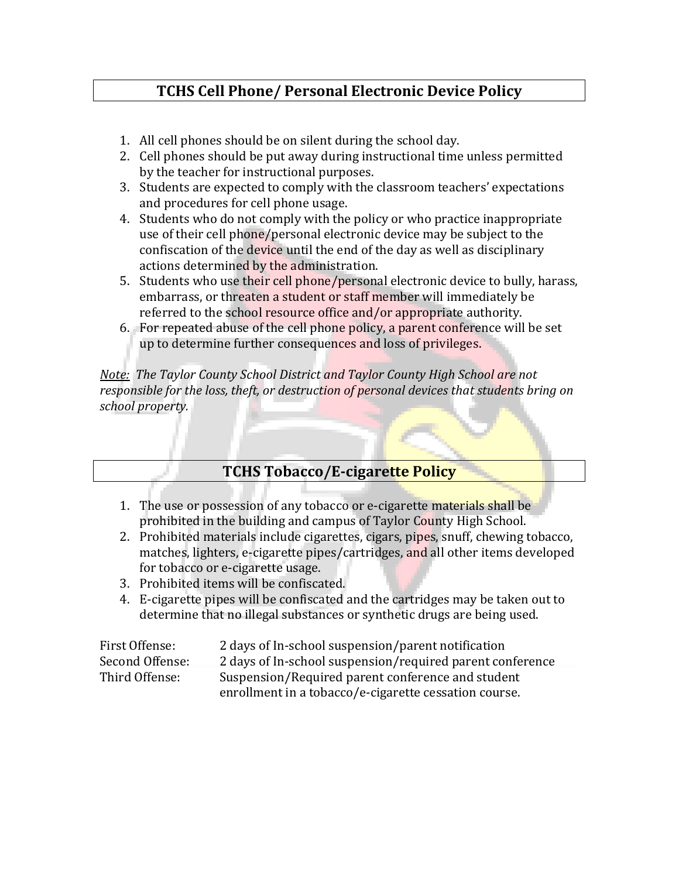## **TCHS Cell Phone/ Personal Electronic Device Policy**

- 1. All cell phones should be on silent during the school day.
- 2. Cell phones should be put away during instructional time unless permitted by the teacher for instructional purposes.
- 3. Students are expected to comply with the classroom teachers' expectations and procedures for cell phone usage.
- 4. Students who do not comply with the policy or who practice inappropriate use of their cell phone/personal electronic device may be subject to the confiscation of the device until the end of the day as well as disciplinary actions determined by the administration.
- 5. Students who use their cell phone/personal electronic device to bully, harass, embarrass, or threaten a student or staff member will immediately be referred to the school resource office and/or appropriate authority.
- 6. For repeated abuse of the cell phone policy, a parent conference will be set up to determine further consequences and loss of privileges.

*Note: The Taylor County School District and Taylor County High School are not responsible for the loss, theft, or destruction of personal devices that students bring on school property.* 

## **TCHS Tobacco/E-cigarette Policy**

- 1. The use or possession of any tobacco or e-cigarette materials shall be prohibited in the building and campus of Taylor County High School.
- 2. Prohibited materials include cigarettes, cigars, pipes, snuff, chewing tobacco, matches, lighters, e-cigarette pipes/cartridges, and all other items developed for tobacco or e-cigarette usage.
- 3. Prohibited items will be confiscated.
- 4. E-cigarette pipes will be confiscated and the cartridges may be taken out to determine that no illegal substances or synthetic drugs are being used.

| First Offense:  | 2 days of In-school suspension/parent notification        |
|-----------------|-----------------------------------------------------------|
| Second Offense: | 2 days of In-school suspension/required parent conference |
| Third Offense:  | Suspension/Required parent conference and student         |
|                 | enrollment in a tobacco/e-cigarette cessation course.     |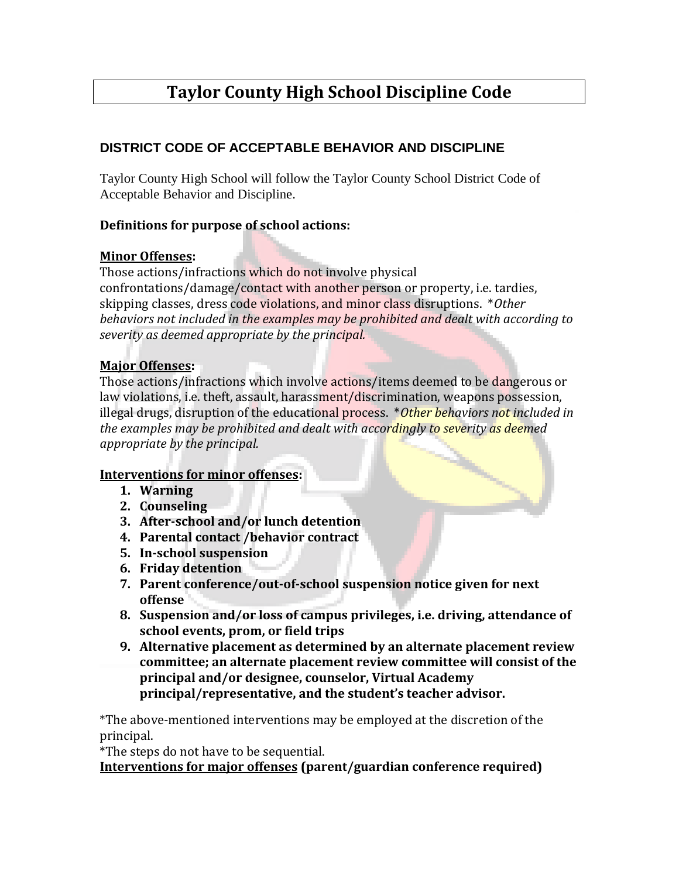# **Taylor County High School Discipline Code**

## **DISTRICT CODE OF ACCEPTABLE BEHAVIOR AND DISCIPLINE**

Taylor County High School will follow the Taylor County School District Code of Acceptable Behavior and Discipline.

## **Definitions for purpose of school actions:**

### **Minor Offenses:**

Those actions/infractions which do not involve physical confrontations/damage/contact with another person or property, i.e. tardies, skipping classes, dress code violations, and minor class disruptions. \**Other behaviors not included in the examples may be prohibited and dealt with according to severity as deemed appropriate by the principal.*

### **Major Offenses:**

Those actions/infractions which involve actions/items deemed to be dangerous or law violations, i.e. theft, assault, harassment/discrimination, weapons possession, illegal drugs, disruption of the educational process. \**Other behaviors not included in the examples may be prohibited and dealt with accordingly to severity as deemed appropriate by the principal.*

#### **Interventions for minor offenses:**

- **1. Warning**
- **2. Counseling**
- **3. After-school and/or lunch detention**
- **4. Parental contact /behavior contract**
- **5. In-school suspension**
- **6. Friday detention**
- **7. Parent conference/out-of-school suspension notice given for next offense**
- **8. Suspension and/or loss of campus privileges, i.e. driving, attendance of school events, prom, or field trips**
- **9. Alternative placement as determined by an alternate placement review committee; an alternate placement review committee will consist of the principal and/or designee, counselor, Virtual Academy principal/representative, and the student's teacher advisor.**

\*The above-mentioned interventions may be employed at the discretion of the principal.

\*The steps do not have to be sequential.

**Interventions for major offenses (parent/guardian conference required)**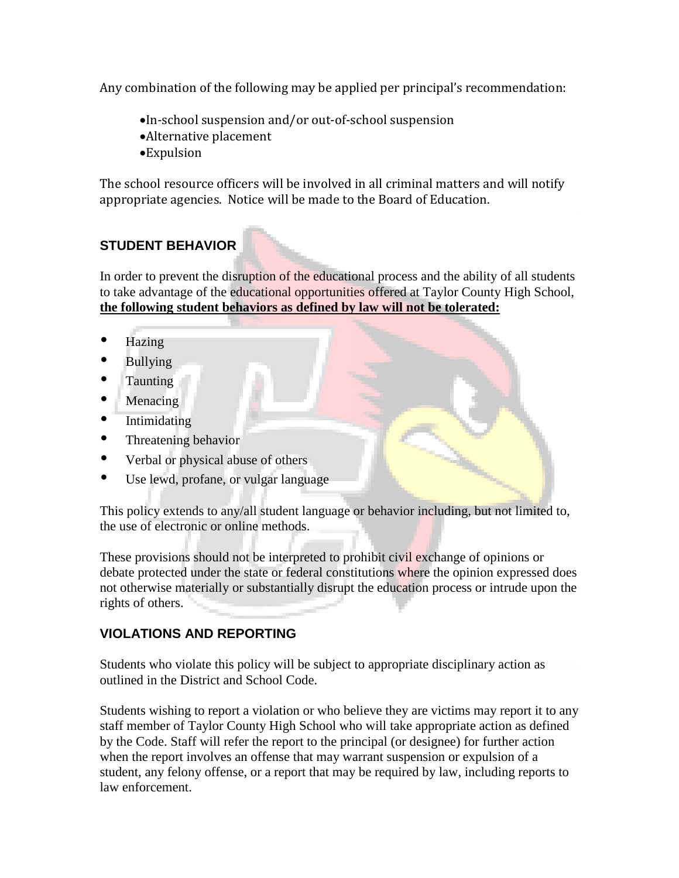Any combination of the following may be applied per principal's recommendation:

- In-school suspension and/or out-of-school suspension
- Alternative placement
- Expulsion

The school resource officers will be involved in all criminal matters and will notify appropriate agencies. Notice will be made to the Board of Education.

## **STUDENT BEHAVIOR**

In order to prevent the disruption of the educational process and the ability of all students to take advantage of the educational opportunities offered at Taylor County High School, **the following student behaviors as defined by law will not be tolerated:**

- Hazing
- Bullying
- Taunting
- Menacing
- Intimidating
- Threatening behavior
- Verbal or physical abuse of others
- Use lewd, profane, or vulgar language

This policy extends to any/all student language or behavior including, but not limited to, the use of electronic or online methods.

These provisions should not be interpreted to prohibit civil exchange of opinions or debate protected under the state or federal constitutions where the opinion expressed does not otherwise materially or substantially disrupt the education process or intrude upon the rights of others.

## **VIOLATIONS AND REPORTING**

Students who violate this policy will be subject to appropriate disciplinary action as outlined in the District and School Code.

Students wishing to report a violation or who believe they are victims may report it to any staff member of Taylor County High School who will take appropriate action as defined by the Code. Staff will refer the report to the principal (or designee) for further action when the report involves an offense that may warrant suspension or expulsion of a student, any felony offense, or a report that may be required by law, including reports to law enforcement.